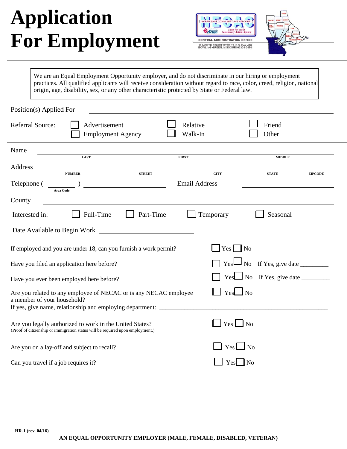# **Application For Employment**





We are an Equal Employment Opportunity employer, and do not discriminate in our hiring or employment practices. All qualified applicants will receive consideration without regard to race, color, creed, religion, national origin, age, disability, sex, or any other characteristic protected by State or Federal law.

| Position(s) Applied For                                                                                                                                                              |                                               |  |  |  |
|--------------------------------------------------------------------------------------------------------------------------------------------------------------------------------------|-----------------------------------------------|--|--|--|
| <b>Referral Source:</b><br>Advertisement<br>Relative<br>Walk-In<br><b>Employment Agency</b>                                                                                          | Friend<br>Other                               |  |  |  |
| Name<br>LAST<br><b>FIRST</b>                                                                                                                                                         | <b>MIDDLE</b>                                 |  |  |  |
| Address<br><b>STREET</b><br><b>NUMBER</b>                                                                                                                                            | <b>CITY</b><br><b>STATE</b><br><b>ZIPCODE</b> |  |  |  |
| <b>Email Address</b><br>Telephone (<br><b>Area Code</b>                                                                                                                              |                                               |  |  |  |
| County                                                                                                                                                                               |                                               |  |  |  |
| Full-Time<br>Part-Time<br>Interested in:                                                                                                                                             | Temporary<br>Seasonal                         |  |  |  |
|                                                                                                                                                                                      |                                               |  |  |  |
| If employed and you are under 18, can you furnish a work permit?                                                                                                                     | $\Box$ Yes $\Box$ No                          |  |  |  |
| Have you filed an application here before?                                                                                                                                           | $\Box$ No If Yes, give date $\Box$<br>YesL    |  |  |  |
| Have you ever been employed here before?                                                                                                                                             |                                               |  |  |  |
| Are you related to any employee of NECAC or is any NECAC employee<br>a member of your household?<br>If yes, give name, relationship and employing department: ______________________ | $\Box$ Yes $\Box$ No                          |  |  |  |
| Are you legally authorized to work in the United States?<br>(Proof of citizenship or immigration status will be required upon employment.)                                           | $\Box$ Yes $\Box$ No                          |  |  |  |
| Are you on a lay-off and subject to recall?                                                                                                                                          | $\Box$ Yes $\Box$ No                          |  |  |  |
| Can you travel if a job requires it?                                                                                                                                                 | $Yes \Box No$                                 |  |  |  |
|                                                                                                                                                                                      |                                               |  |  |  |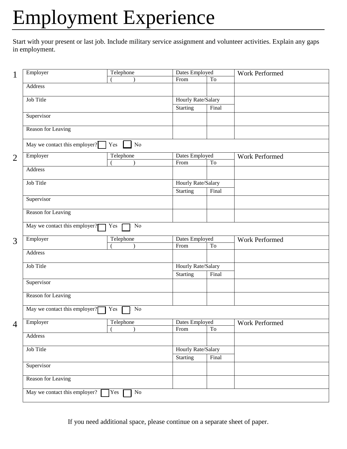## Employment Experience

Start with your present or last job. Include military service assignment and volunteer activities. Explain any gaps in employment.

| $\mathbf{1}$   | Employer                             | Telephone       | Dates Employed         |                     | Work Performed |
|----------------|--------------------------------------|-----------------|------------------------|---------------------|----------------|
|                |                                      |                 | From                   | T <sub>o</sub>      |                |
|                | <b>Address</b>                       |                 |                        |                     |                |
|                | Job Title                            |                 | Hourly Rate/Salary     |                     |                |
|                |                                      |                 | <b>Starting</b>        | Final               |                |
|                | Supervisor                           |                 |                        |                     |                |
|                |                                      |                 |                        |                     |                |
|                | Reason for Leaving                   |                 |                        |                     |                |
|                | May we contact this employer? $\Box$ | Yes<br>No       |                        |                     |                |
| $\overline{2}$ | Employer                             | Telephone       | Dates Employed         |                     | Work Performed |
|                |                                      |                 | From                   | To                  |                |
|                | <b>Address</b>                       |                 |                        |                     |                |
|                | Job Title                            |                 | Hourly Rate/Salary     |                     |                |
|                |                                      |                 | <b>Starting</b>        | Final               |                |
|                | Supervisor                           |                 |                        |                     |                |
|                |                                      |                 |                        |                     |                |
|                | Reason for Leaving                   |                 |                        |                     |                |
|                | May we contact this employer?        | Yes<br>No       |                        |                     |                |
|                | Employer<br>Telephone                |                 | Dates Employed         |                     | Work Performed |
| 3              |                                      |                 | From                   | To                  |                |
|                | Address                              |                 |                        |                     |                |
|                |                                      |                 |                        |                     |                |
|                | Job Title                            |                 | Hourly Rate/Salary     |                     |                |
|                |                                      |                 | <b>Starting</b>        | Final               |                |
|                | Supervisor                           |                 |                        |                     |                |
|                | <b>Reason for Leaving</b>            |                 |                        |                     |                |
|                | May we contact this employer?        | Yes<br>No       |                        |                     |                |
|                |                                      |                 |                        |                     |                |
| 4              | Employer                             | Telephone       | Dates Employed<br>From | $\operatorname{To}$ | Work Performed |
|                | Address                              |                 |                        |                     |                |
|                |                                      |                 |                        |                     |                |
|                | Job Title                            |                 | Hourly Rate/Salary     |                     |                |
|                |                                      |                 | <b>Starting</b>        | Final               |                |
|                | Supervisor                           |                 |                        |                     |                |
|                | Reason for Leaving                   |                 |                        |                     |                |
|                | May we contact this employer? $\Box$ | Yes<br>$\rm No$ |                        |                     |                |
|                |                                      |                 |                        |                     |                |

If you need additional space, please continue on a separate sheet of paper.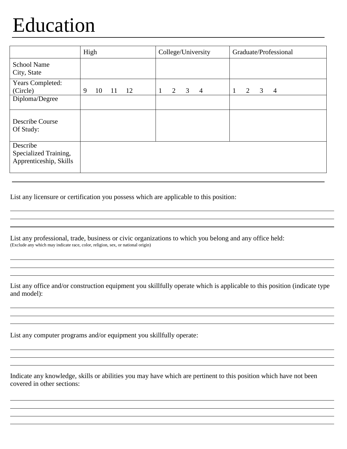### Education

|                                                             | High                | College/University       | Graduate/Professional    |
|-------------------------------------------------------------|---------------------|--------------------------|--------------------------|
| <b>School Name</b><br>City, State                           |                     |                          |                          |
| Years Completed:<br>(Circle)                                | 9<br>10<br>12<br>11 | 3<br>2<br>$\overline{4}$ | 2<br>3<br>$\overline{4}$ |
| Diploma/Degree                                              |                     |                          |                          |
| Describe Course<br>Of Study:                                |                     |                          |                          |
| Describe<br>Specialized Training,<br>Apprenticeship, Skills |                     |                          |                          |

List any licensure or certification you possess which are applicable to this position:

List any professional, trade, business or civic organizations to which you belong and any office held: (Exclude any which may indicate race, color, religion, sex, or national origin)

List any office and/or construction equipment you skillfully operate which is applicable to this position (indicate type and model):

List any computer programs and/or equipment you skillfully operate:

Indicate any knowledge, skills or abilities you may have which are pertinent to this position which have not been covered in other sections: